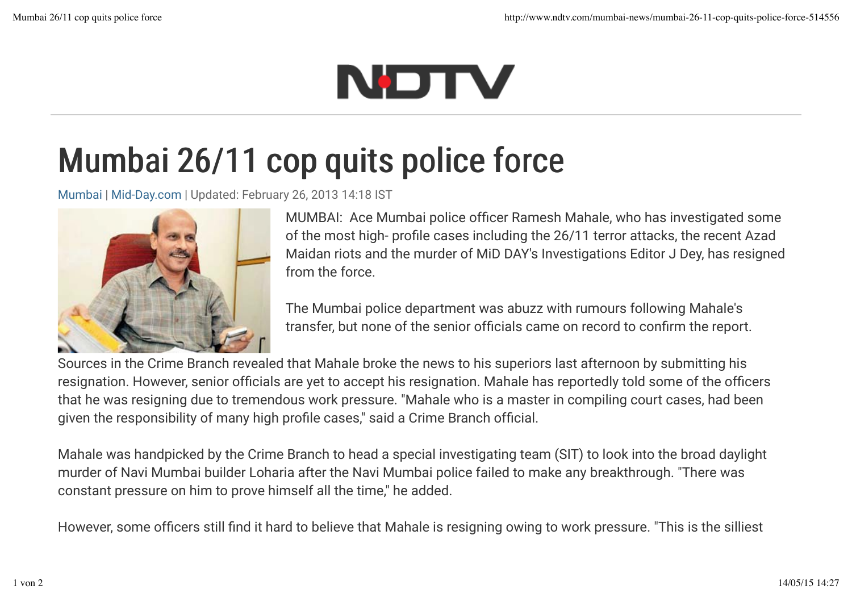## NDTV

## Mumbai 26/11 cop quits police force

Mumbai | Mid-Day.com | Updated: February 26, 2013 14:18 IST



MUMBAI: Ace Mumbai police officer Ramesh Mahale, who has investigated some of the most high- profile cases including the 26/11 terror attacks, the recent Azad Maidan riots and the murder of MiD DAY's Investigations Editor J Dey, has resigned from the force.

The Mumbai police department was abuzz with rumours following Mahale's transfer, but none of the senior officials came on record to confirm the report.

Sources in the Crime Branch revealed that Mahale broke the news to his superiors last afternoon by submitting his resignation. However, senior officials are yet to accept his resignation. Mahale has reportedly told some of the officers that he was resigning due to tremendous work pressure. "Mahale who is a master in compiling court cases, had been given the responsibility of many high profile cases," said a Crime Branch official.

Mahale was handpicked by the Crime Branch to head a special investigating team (SIT) to look into the broad daylight murder of Navi Mumbai builder Loharia after the Navi Mumbai police failed to make any breakthrough. "There was constant pressure on him to prove himself all the time," he added.

However, some officers still find it hard to believe that Mahale is resigning owing to work pressure. "This is the silliest